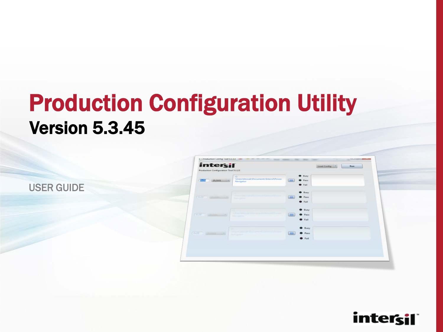## Production Configuration Utility Version 5.3.45

USER GUIDE

| $\circ$<br>\Users\kkozak\Documents\Intersit\Power<br>$5 - 50$ | $\bullet$ Busy                  |  |
|---------------------------------------------------------------|---------------------------------|--|
|                                                               |                                 |  |
| 212101<br>Navigator                                           | Links.<br>$P$ ass               |  |
|                                                               | <b>O</b> Fail                   |  |
|                                                               | <b>C</b> Busy                   |  |
| ALLANDVARD SEAT<br>$-25.111111+17.7$<br><b>Telepoorpathon</b> | <b>O</b> Pass<br><b>Child</b>   |  |
|                                                               | <b>O</b> Fail                   |  |
|                                                               | $\bullet$ Busy                  |  |
| <b>SAFERPROPERTY</b>                                          | <b>O</b> Pass<br><b>James</b>   |  |
| (22.210125)<br><b>Newspation</b>                              |                                 |  |
|                                                               | <b>O</b> Fail                   |  |
|                                                               | <b>Busy</b>                     |  |
| <b>LESSAGER</b><br>$(252001 - 17)$<br><b>Perry paints</b>     | <b>Linkins</b><br><b>O</b> Pass |  |
|                                                               | <b>O</b> Fail                   |  |
|                                                               |                                 |  |

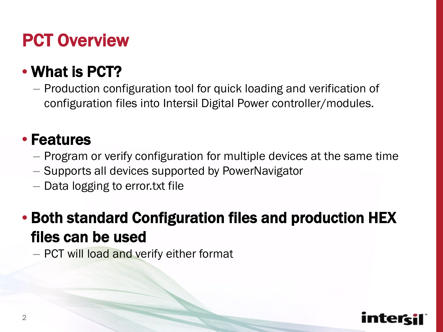## PCT Overview

#### • What is PCT?

– Production configuration tool for quick loading and verification of configuration files into Intersil Digital Power controller/modules.

#### • Features

- Program or verify configuration for multiple devices at the same time
- Supports all devices supported by PowerNavigator
- Data logging to error.txt file

#### • Both standard Configuration files and production HEX files can be used

– PCT will load and verify either format

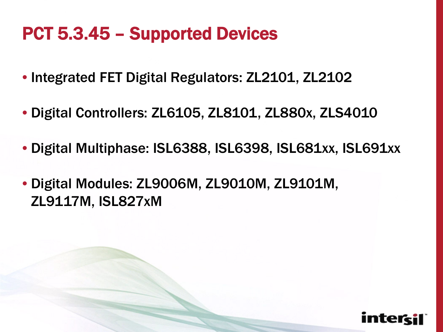## PCT 5.3.45 – Supported Devices

- Integrated FET Digital Regulators: ZL2101, ZL2102
- Digital Controllers: ZL6105, ZL8101, ZL880x, ZLS4010
- Digital Multiphase: ISL6388, ISL6398, ISL681xx, ISL691xx
- Digital Modules: ZL9006M, ZL9010M, ZL9101M, ZL9117M, ISL827xM

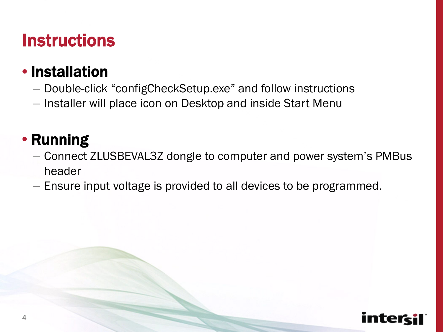#### **Instructions**

#### • Installation

- Double-click "configCheckSetup.exe" and follow instructions
- Installer will place icon on Desktop and inside Start Menu

#### • Running

- Connect ZLUSBEVAL3Z dongle to computer and power system's PMBus header
- Ensure input voltage is provided to all devices to be programmed.

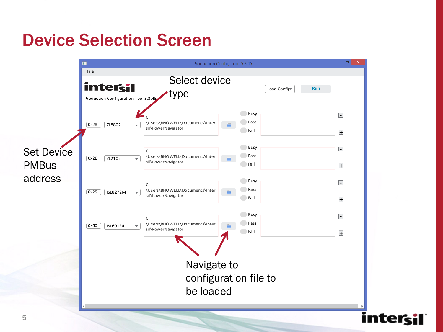#### Device Selection Screen

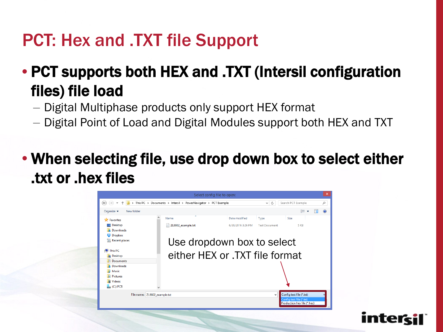### PCT: Hex and .TXT file Support

#### • PCT supports both HEX and .TXT (Intersil configuration files) file load

- Digital Multiphase products only support HEX format
- Digital Point of Load and Digital Modules support both HEX and TXT
- When selecting file, use drop down box to select either .txt or .hex files

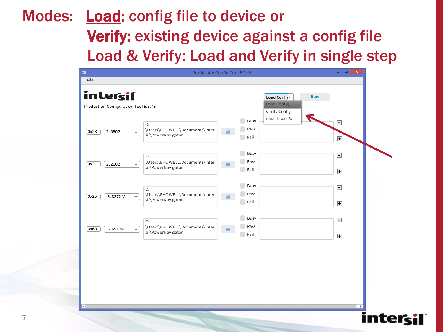#### Modes: **Load:** config file to device or **Verify:** existing device against a config file **Load & Verify: Load and Verify in single step**

| File<br>intersil<br>Run<br>Load Config<br>Load Config<br>Production Configuration Tool 5.3.45<br>Verify Config<br>Load & Verify<br>Busy<br>$\blacksquare$<br>C:<br>Pass<br>\Users\BHOWELL\Documents\Inter<br>0x28<br>ZL8802<br>$\overline{\phantom{a}}$<br>sil\PowerNavigator<br>Fail<br>$\ddot{}$<br>Busy<br>$\overline{\phantom{a}}$<br>C:<br>Pass<br>\Users\BHOWELL\Documents\Inter<br>0x2E<br>ZL2102<br>$\overline{\phantom{0}}$<br>E<br>sil\PowerNavigator<br>Fail<br>$+$<br>Busy<br>$\overline{\phantom{a}}$<br>C:<br>Pass<br>\Users\BHOWELL\Documents\Inter<br>0x25<br>ISL8272M<br>$\overline{\phantom{a}}$<br>sil\PowerNavigator<br>Fail<br>$\ddot{}$<br>Busy<br>$\vert$ –<br>C:<br>Pass<br>\Users\BHOWELL\Documents\Inter<br>0x60<br>ISL69124<br>$\overline{\phantom{0}}$<br>E<br>sil\PowerNavigator<br>Fail<br>$\ddot{}$ |  |  |
|------------------------------------------------------------------------------------------------------------------------------------------------------------------------------------------------------------------------------------------------------------------------------------------------------------------------------------------------------------------------------------------------------------------------------------------------------------------------------------------------------------------------------------------------------------------------------------------------------------------------------------------------------------------------------------------------------------------------------------------------------------------------------------------------------------------------------------|--|--|
|                                                                                                                                                                                                                                                                                                                                                                                                                                                                                                                                                                                                                                                                                                                                                                                                                                    |  |  |
|                                                                                                                                                                                                                                                                                                                                                                                                                                                                                                                                                                                                                                                                                                                                                                                                                                    |  |  |
|                                                                                                                                                                                                                                                                                                                                                                                                                                                                                                                                                                                                                                                                                                                                                                                                                                    |  |  |
|                                                                                                                                                                                                                                                                                                                                                                                                                                                                                                                                                                                                                                                                                                                                                                                                                                    |  |  |
|                                                                                                                                                                                                                                                                                                                                                                                                                                                                                                                                                                                                                                                                                                                                                                                                                                    |  |  |
|                                                                                                                                                                                                                                                                                                                                                                                                                                                                                                                                                                                                                                                                                                                                                                                                                                    |  |  |

নে।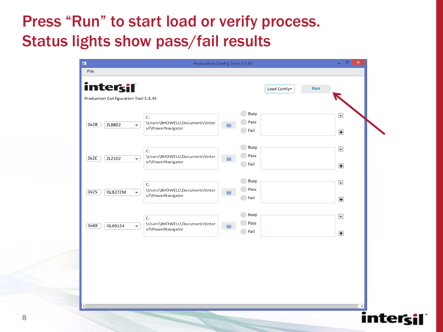#### Press "Run" to start load or verify process. Status lights show pass/fail results

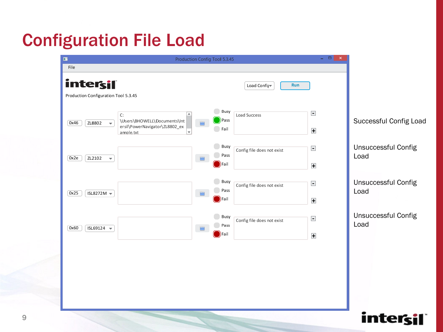## Configuration File Load



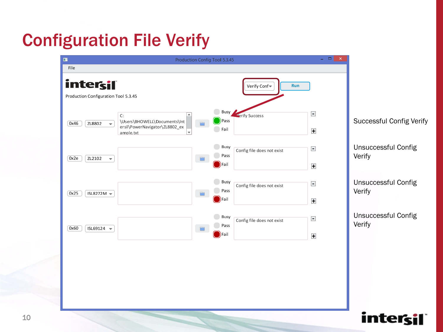## Configuration File Verify



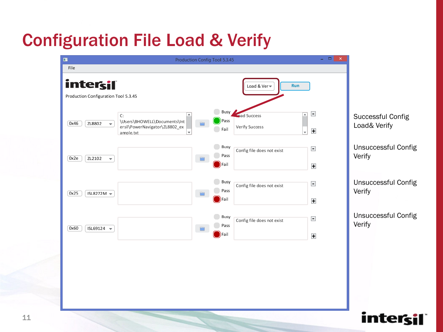## Configuration File Load & Verify



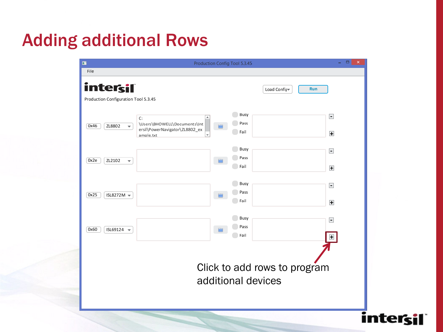### Adding additional Rows

| $\blacksquare$                                                                | Production Config Tool 5.3.45                                                                                                      | $\Box$<br>$\boldsymbol{\times}$<br>٠    |  |  |  |  |
|-------------------------------------------------------------------------------|------------------------------------------------------------------------------------------------------------------------------------|-----------------------------------------|--|--|--|--|
| File                                                                          |                                                                                                                                    |                                         |  |  |  |  |
| intersil<br><b>Run</b><br>Load Config<br>Production Configuration Tool 5.3.45 |                                                                                                                                    |                                         |  |  |  |  |
| 0x46<br>ZL8802<br>$\overline{\phantom{0}}$                                    | Busy<br>$\blacktriangle$<br>C:<br>Pass<br>\Users\BHOWELL\Documents\Int<br>═<br>ersil\PowerNavigator\ZL8802_ex<br>Fail<br>ample.txt | $\vert$ = $\vert$<br>$\ddot{}$          |  |  |  |  |
| 0x2e<br>ZL2102<br>$\overline{\phantom{0}}$                                    | Busy<br>Pass<br>▬<br>Fail                                                                                                          | $\overline{\phantom{a}}$<br>$\ddot{}$   |  |  |  |  |
| 0x25<br>ISL8272M $\sim$                                                       | Busy<br>Pass<br>n<br>Fail                                                                                                          | $\overline{\phantom{a}}$<br>$\ddot{}$   |  |  |  |  |
| 0x60<br>ISL69124 $\blacktriangledown$                                         | Busy<br>Pass<br>═<br>Fail                                                                                                          | $\overline{\phantom{a}}$<br>$\ddotmark$ |  |  |  |  |
| Click to add rows to program<br>additional devices                            |                                                                                                                                    |                                         |  |  |  |  |

intersil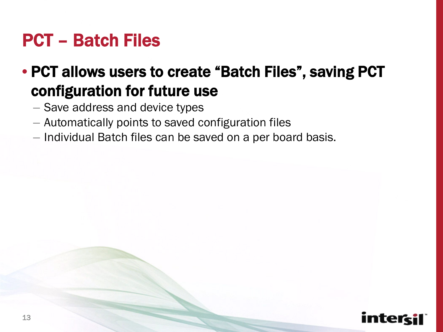#### PCT – Batch Files

#### • PCT allows users to create "Batch Files", saving PCT configuration for future use

- Save address and device types
- Automatically points to saved configuration files
- Individual Batch files can be saved on a per board basis.

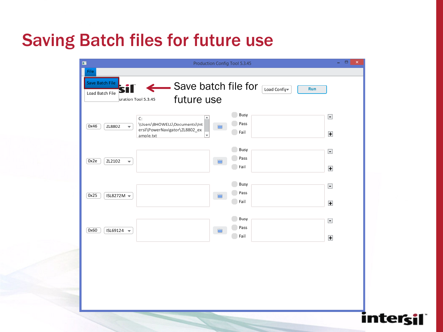#### Saving Batch files for future use